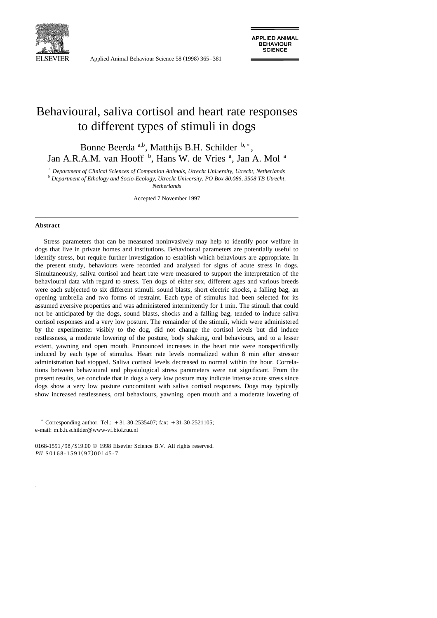

Applied Animal Behaviour Science 58 (1998) 365–381

# Behavioural, saliva cortisol and heart rate responses to different types of stimuli in dogs

Bonne Beerda a,b, Matthijs B.H. Schilder  $b, *$ , Jan A.R.A.M. van Hooff<sup>b</sup>, Hans W. de Vries<sup>a</sup>, Jan A. Mol<sup>a</sup>

<sup>a</sup> Department of Clinical Sciences of Companion Animals, Utrecht University, Utrecht, Netherlands<br><sup>b</sup> Department of Ethology and Socio-Ecology, Utrecht University, PO Box 80.086, 3508 TB Utrecht,

*Netherlands*

Accepted 7 November 1997

#### **Abstract**

Stress parameters that can be measured noninvasively may help to identify poor welfare in dogs that live in private homes and institutions. Behavioural parameters are potentially useful to identify stress, but require further investigation to establish which behaviours are appropriate. In the present study, behaviours were recorded and analysed for signs of acute stress in dogs. Simultaneously, saliva cortisol and heart rate were measured to support the interpretation of the behavioural data with regard to stress. Ten dogs of either sex, different ages and various breeds were each subjected to six different stimuli: sound blasts, short electric shocks, a falling bag, an opening umbrella and two forms of restraint. Each type of stimulus had been selected for its assumed aversive properties and was administered intermittently for 1 min. The stimuli that could not be anticipated by the dogs, sound blasts, shocks and a falling bag, tended to induce saliva cortisol responses and a very low posture. The remainder of the stimuli, which were administered by the experimenter visibly to the dog, did not change the cortisol levels but did induce restlessness, a moderate lowering of the posture, body shaking, oral behaviours, and to a lesser extent, yawning and open mouth. Pronounced increases in the heart rate were nonspecifically induced by each type of stimulus. Heart rate levels normalized within 8 min after stressor administration had stopped. Saliva cortisol levels decreased to normal within the hour. Correlations between behavioural and physiological stress parameters were not significant. From the present results, we conclude that in dogs a very low posture may indicate intense acute stress since dogs show a very low posture concomitant with saliva cortisol responses. Dogs may typically show increased restlessness, oral behaviours, yawning, open mouth and a moderate lowering of

Corresponding author. Tel.:  $+31-30-2535407$ ; fax:  $+31-30-2521105$ ; e-mail: m.b.h.schilder@www-vf.biol.ruu.nl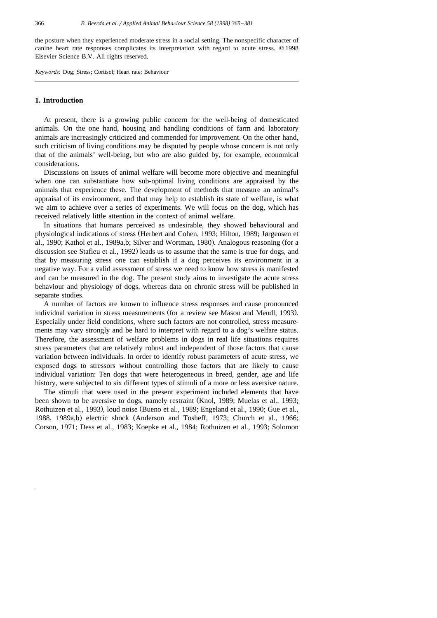the posture when they experienced moderate stress in a social setting. The nonspecific character of canine heart rate responses complicates its interpretation with regard to acute stress.  $© 1998$ Elsevier Science B.V. All rights reserved.

*Keywords:* Dog; Stress; Cortisol; Heart rate; Behaviour

# **1. Introduction**

At present, there is a growing public concern for the well-being of domesticated animals. On the one hand, housing and handling conditions of farm and laboratory animals are increasingly criticized and commended for improvement. On the other hand, such criticism of living conditions may be disputed by people whose concern is not only that of the animals' well-being, but who are also guided by, for example, economical considerations.

Discussions on issues of animal welfare will become more objective and meaningful when one can substantiate how sub-optimal living conditions are appraised by the animals that experience these. The development of methods that measure an animal's appraisal of its environment, and that may help to establish its state of welfare, is what we aim to achieve over a series of experiments. We will focus on the dog, which has received relatively little attention in the context of animal welfare.

In situations that humans perceived as undesirable, they showed behavioural and physiological indications of stress (Herbert and Cohen, 1993; Hilton, 1989; Jørgensen et al., 1990; Kathol et al., 1989a,b; Silver and Wortman, 1980). Analogous reasoning (for a discussion see Stafleu et al., 1992) leads us to assume that the same is true for dogs, and that by measuring stress one can establish if a dog perceives its environment in a negative way. For a valid assessment of stress we need to know how stress is manifested and can be measured in the dog. The present study aims to investigate the acute stress behaviour and physiology of dogs, whereas data on chronic stress will be published in separate studies.

A number of factors are known to influence stress responses and cause pronounced individual variation in stress measurements (for a review see Mason and Mendl, 1993). Especially under field conditions, where such factors are not controlled, stress measurements may vary strongly and be hard to interpret with regard to a dog's welfare status. Therefore, the assessment of welfare problems in dogs in real life situations requires stress parameters that are relatively robust and independent of those factors that cause variation between individuals. In order to identify robust parameters of acute stress, we exposed dogs to stressors without controlling those factors that are likely to cause individual variation: Ten dogs that were heterogeneous in breed, gender, age and life history, were subjected to six different types of stimuli of a more or less aversive nature.

The stimuli that were used in the present experiment included elements that have been shown to be aversive to dogs, namely restraint (Knol, 1989; Muelas et al., 1993; Rothuizen et al., 1993), loud noise (Bueno et al., 1989; Engeland et al., 1990; Gue et al., 1988, 1989a,b) electric shock (Anderson and Tosheff, 1973; Church et al., 1966; Corson, 1971; Dess et al., 1983; Koepke et al., 1984; Rothuizen et al., 1993; Solomon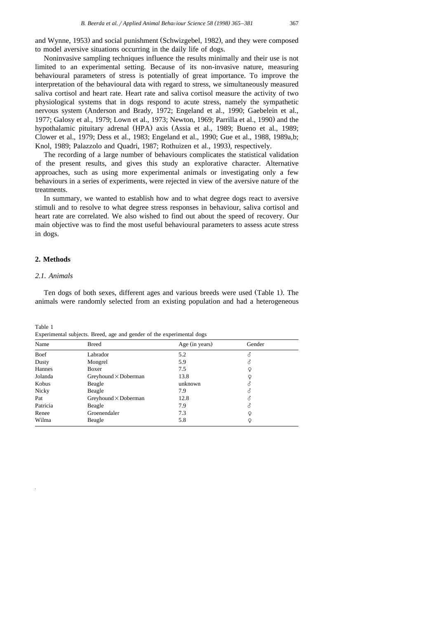and Wynne, 1953) and social punishment (Schwizgebel, 1982), and they were composed to model aversive situations occurring in the daily life of dogs.

Noninvasive sampling techniques influence the results minimally and their use is not limited to an experimental setting. Because of its non-invasive nature, measuring behavioural parameters of stress is potentially of great importance. To improve the interpretation of the behavioural data with regard to stress, we simultaneously measured saliva cortisol and heart rate. Heart rate and saliva cortisol measure the activity of two physiological systems that in dogs respond to acute stress, namely the sympathetic nervous system (Anderson and Brady, 1972; Engeland et al., 1990; Gaebelein et al., 1977; Galosy et al., 1979; Lown et al., 1973; Newton, 1969; Parrilla et al., 1990) and the hypothalamic pituitary adrenal (HPA) axis (Assia et al., 1989; Bueno et al., 1989; Clower et al., 1979; Dess et al., 1983; Engeland et al., 1990; Gue et al., 1988, 1989a,b; Knol, 1989; Palazzolo and Quadri, 1987; Rothuizen et al., 1993), respectively.

The recording of a large number of behaviours complicates the statistical validation of the present results, and gives this study an explorative character. Alternative approaches, such as using more experimental animals or investigating only a few behaviours in a series of experiments, were rejected in view of the aversive nature of the treatments.

In summary, we wanted to establish how and to what degree dogs react to aversive stimuli and to resolve to what degree stress responses in behaviour, saliva cortisol and heart rate are correlated. We also wished to find out about the speed of recovery. Our main objective was to find the most useful behavioural parameters to assess acute stress in dogs.

#### **2. Methods**

# *2.1. Animals*

Ten dogs of both sexes, different ages and various breeds were used (Table 1). The animals were randomly selected from an existing population and had a heterogeneous

| Name     | <b>Breed</b>                | Age (in years) | Gender |  |
|----------|-----------------------------|----------------|--------|--|
| Boef     | Labrador                    | 5.2            | 3      |  |
| Dusty    | Mongrel                     | 5.9            | 3      |  |
| Hannes   | Boxer                       | 7.5            | Q      |  |
| Jolanda  | Greyhound $\times$ Doberman | 13.8           | Q      |  |
| Kobus    | Beagle                      | unknown        | 8      |  |
| Nicky    | Beagle                      | 7.9            | 8      |  |
| Pat      | Greyhound $\times$ Doberman | 12.8           | 8      |  |
| Patricia | Beagle                      | 7.9            | 8      |  |
| Renee    | Groenendaler                | 7.3            | Q      |  |
| Wilma    | Beagle                      | 5.8            | Q      |  |

Table 1 Experimental subjects. Breed, age and gender of the experimental dogs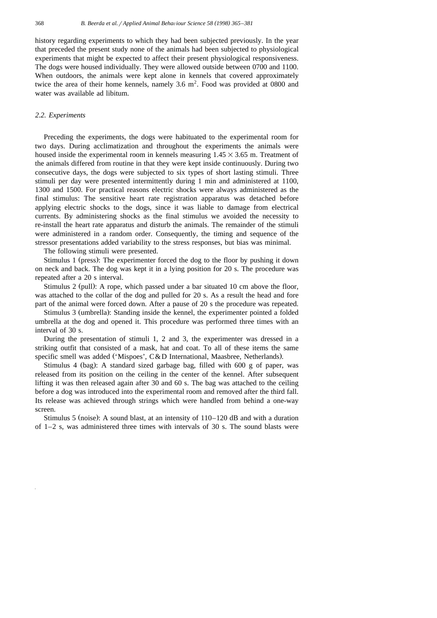history regarding experiments to which they had been subjected previously. In the year that preceded the present study none of the animals had been subjected to physiological experiments that might be expected to affect their present physiological responsiveness. The dogs were housed individually. They were allowed outside between 0700 and 1100. When outdoors, the animals were kept alone in kennels that covered approximately twice the area of their home kennels, namely  $3.6 \text{ m}^2$ . Food was provided at 0800 and water was available ad libitum.

#### *2.2. Experiments*

Preceding the experiments, the dogs were habituated to the experimental room for two days. During acclimatization and throughout the experiments the animals were housed inside the experimental room in kennels measuring  $1.45\times3.65$  m. Treatment of the animals differed from routine in that they were kept inside continuously. During two consecutive days, the dogs were subjected to six types of short lasting stimuli. Three stimuli per day were presented intermittently during 1 min and administered at 1100, 1300 and 1500. For practical reasons electric shocks were always administered as the final stimulus: The sensitive heart rate registration apparatus was detached before applying electric shocks to the dogs, since it was liable to damage from electrical currents. By administering shocks as the final stimulus we avoided the necessity to re-install the heart rate apparatus and disturb the animals. The remainder of the stimuli were administered in a random order. Consequently, the timing and sequence of the stressor presentations added variability to the stress responses, but bias was minimal.

The following stimuli were presented.

Stimulus 1 (press): The experimenter forced the dog to the floor by pushing it down on neck and back. The dog was kept it in a lying position for 20 s. The procedure was repeated after a 20 s interval.

Stimulus 2 (pull): A rope, which passed under a bar situated 10 cm above the floor, was attached to the collar of the dog and pulled for 20 s. As a result the head and fore part of the animal were forced down. After a pause of 20 s the procedure was repeated.

Stimulus 3 (umbrella): Standing inside the kennel, the experimenter pointed a folded umbrella at the dog and opened it. This procedure was performed three times with an interval of 30 s.

During the presentation of stimuli 1, 2 and 3, the experimenter was dressed in a striking outfit that consisted of a mask, hat and coat. To all of these items the same specific smell was added ('Mispoes', C&D International, Maasbree, Netherlands).

Stimulus 4 (bag): A standard sized garbage bag, filled with  $600$  g of paper, was released from its position on the ceiling in the center of the kennel. After subsequent lifting it was then released again after 30 and 60 s. The bag was attached to the ceiling before a dog was introduced into the experimental room and removed after the third fall. Its release was achieved through strings which were handled from behind a one-way screen.

Stimulus 5 (noise): A sound blast, at an intensity of  $110-120$  dB and with a duration of  $1-2$  s, was administered three times with intervals of 30 s. The sound blasts were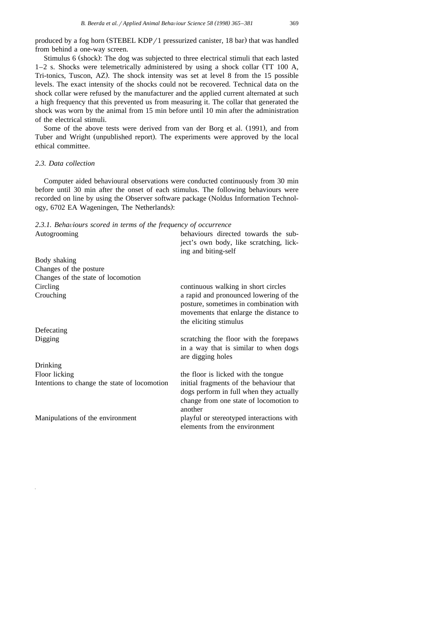produced by a fog horn  $(STEBEL KDP / 1)$  pressurized canister, 18 bar) that was handled from behind a one-way screen.

Stimulus 6 (shock): The dog was subjected to three electrical stimuli that each lasted  $1-2$  s. Shocks were telemetrically administered by using a shock collar (TT 100 A, Tri-tonics, Tuscon, AZ). The shock intensity was set at level 8 from the 15 possible levels. The exact intensity of the shocks could not be recovered. Technical data on the shock collar were refused by the manufacturer and the applied current alternated at such a high frequency that this prevented us from measuring it. The collar that generated the shock was worn by the animal from 15 min before until 10 min after the administration of the electrical stimuli.

Some of the above tests were derived from van der Borg et al. (1991), and from Tuber and Wright (unpublished report). The experiments were approved by the local ethical committee.

# *2.3. Data collection*

Computer aided behavioural observations were conducted continuously from 30 min before until 30 min after the onset of each stimulus. The following behaviours were recorded on line by using the Observer software package (Noldus Information Technology, 6702 EA Wageningen, The Netherlands):

| <b>Elors, Bonuclom</b> 's scorea in terms of the frequency of occurrence |                                                                                  |
|--------------------------------------------------------------------------|----------------------------------------------------------------------------------|
| Autogrooming                                                             | behaviours directed towards the sub-                                             |
|                                                                          | ject's own body, like scratching, lick-                                          |
|                                                                          | ing and biting-self                                                              |
| Body shaking                                                             |                                                                                  |
| Changes of the posture                                                   |                                                                                  |
| Changes of the state of locomotion                                       |                                                                                  |
| Circling                                                                 | continuous walking in short circles                                              |
| Crouching                                                                | a rapid and pronounced lowering of the<br>posture, sometimes in combination with |
|                                                                          | movements that enlarge the distance to<br>the eliciting stimulus                 |
| Defecating                                                               |                                                                                  |
| Digging                                                                  | scratching the floor with the forepaws                                           |
|                                                                          | in a way that is similar to when dogs<br>are digging holes                       |
| Drinking                                                                 |                                                                                  |
| Floor licking                                                            | the floor is licked with the tongue                                              |
|                                                                          |                                                                                  |
| Intentions to change the state of locomotion                             | initial fragments of the behaviour that                                          |
|                                                                          | dogs perform in full when they actually                                          |
|                                                                          | change from one state of locomotion to<br>another                                |
| Manipulations of the environment                                         | playful or stereotyped interactions with                                         |
|                                                                          | elements from the environment                                                    |

2.3.1. Behaviours scored in terms of the frequency of occurrence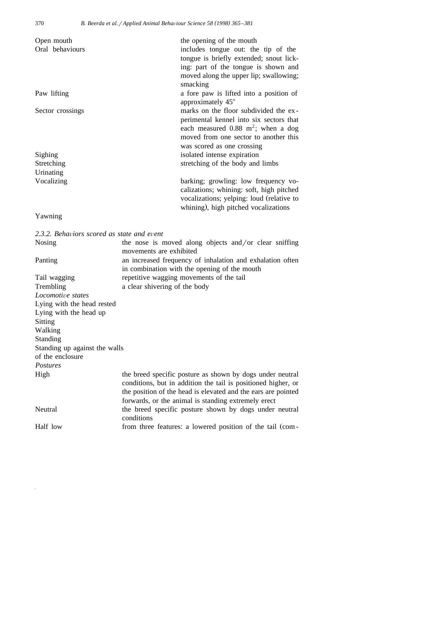| Open mouth       | the opening of the mouth                  |
|------------------|-------------------------------------------|
| Oral behaviours  | includes tongue out: the tip of the       |
|                  | tongue is briefly extended; snout lick-   |
|                  | ing: part of the tongue is shown and      |
|                  | moved along the upper lip; swallowing;    |
|                  | smacking                                  |
| Paw lifting      | a fore paw is lifted into a position of   |
|                  | approximately 45°                         |
| Sector crossings | marks on the floor subdivided the ex-     |
|                  | perimental kennel into six sectors that   |
|                  | each measured 0.88 $m^2$ ; when a dog     |
|                  | moved from one sector to another this     |
|                  | was scored as one crossing                |
| Sighing          | isolated intense expiration               |
| Stretching       | stretching of the body and limbs          |
| Urinating        |                                           |
| Vocalizing       | barking; growling: low frequency vo-      |
|                  | calizations; whining: soft, high pitched  |
|                  | vocalizations; yelping: loud (relative to |
|                  | whining), high pitched vocalizations      |
| Yawning          |                                           |

## Yawning

2.3.2. Behaviors scored as state and event

| benave to his been can also because an large                                                                                                                                                                                                       |  |  |  |  |
|----------------------------------------------------------------------------------------------------------------------------------------------------------------------------------------------------------------------------------------------------|--|--|--|--|
| the nose is moved along objects and/or clear sniffing<br>movements are exhibited                                                                                                                                                                   |  |  |  |  |
| an increased frequency of inhalation and exhalation often                                                                                                                                                                                          |  |  |  |  |
| in combination with the opening of the mouth                                                                                                                                                                                                       |  |  |  |  |
| repetitive wagging movements of the tail                                                                                                                                                                                                           |  |  |  |  |
| a clear shivering of the body                                                                                                                                                                                                                      |  |  |  |  |
|                                                                                                                                                                                                                                                    |  |  |  |  |
|                                                                                                                                                                                                                                                    |  |  |  |  |
|                                                                                                                                                                                                                                                    |  |  |  |  |
|                                                                                                                                                                                                                                                    |  |  |  |  |
|                                                                                                                                                                                                                                                    |  |  |  |  |
|                                                                                                                                                                                                                                                    |  |  |  |  |
| Standing up against the walls                                                                                                                                                                                                                      |  |  |  |  |
|                                                                                                                                                                                                                                                    |  |  |  |  |
|                                                                                                                                                                                                                                                    |  |  |  |  |
| the breed specific posture as shown by dogs under neutral<br>conditions, but in addition the tail is positioned higher, or<br>the position of the head is elevated and the ears are pointed<br>forwards, or the animal is standing extremely erect |  |  |  |  |
| the breed specific posture shown by dogs under neutral<br>conditions                                                                                                                                                                               |  |  |  |  |
| from three features: a lowered position of the tail (com-                                                                                                                                                                                          |  |  |  |  |
|                                                                                                                                                                                                                                                    |  |  |  |  |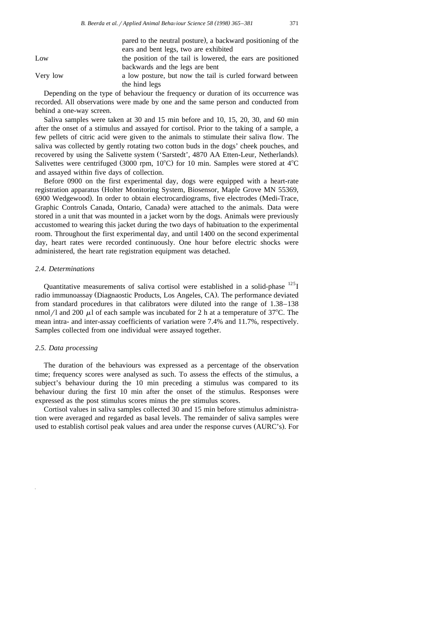|          | pared to the neutral posture), a backward positioning of the |
|----------|--------------------------------------------------------------|
|          | ears and bent legs, two are exhibited                        |
| Low      | the position of the tail is lowered, the ears are positioned |
|          | backwards and the legs are bent                              |
| Very low | a low posture, but now the tail is curled forward between    |
|          | the hind legs                                                |

Depending on the type of behaviour the frequency or duration of its occurrence was recorded. All observations were made by one and the same person and conducted from behind a one-way screen.

Saliva samples were taken at 30 and 15 min before and 10, 15, 20, 30, and 60 min after the onset of a stimulus and assayed for cortisol. Prior to the taking of a sample, a few pellets of citric acid were given to the animals to stimulate their saliva flow. The saliva was collected by gently rotating two cotton buds in the dogs' cheek pouches, and recovered by using the Salivette system ('Sarstedt', 4870 AA Etten-Leur, Netherlands). Salivettes were centrifuged (3000 rpm,  $10^{\circ}$ C) for 10 min. Samples were stored at  $4^{\circ}$ C and assayed within five days of collection.

Before 0900 on the first experimental day, dogs were equipped with a heart-rate registration apparatus (Holter Monitoring System, Biosensor, Maple Grove MN 55369, 6900 Wedgewood). In order to obtain electrocardiograms, five electrodes (Medi-Trace, Graphic Controls Canada, Ontario, Canada) were attached to the animals. Data were stored in a unit that was mounted in a jacket worn by the dogs. Animals were previously accustomed to wearing this jacket during the two days of habituation to the experimental room. Throughout the first experimental day, and until 1400 on the second experimental day, heart rates were recorded continuously. One hour before electric shocks were administered, the heart rate registration equipment was detached.

#### *2.4. Determinations*

Quantitative measurements of saliva cortisol were established in a solid-phase  $^{125}$ I radio immunoassay (Diagnaostic Products, Los Angeles, CA). The performance deviated from standard procedures in that calibrators were diluted into the range of 1.38–138 nmol/l and 200  $\mu$ l of each sample was incubated for 2 h at a temperature of 37°C. The mean intra- and inter-assay coefficients of variation were 7.4% and 11.7%, respectively. Samples collected from one individual were assayed together.

# *2.5. Data processing*

The duration of the behaviours was expressed as a percentage of the observation time; frequency scores were analysed as such. To assess the effects of the stimulus, a subject's behaviour during the 10 min preceding a stimulus was compared to its behaviour during the first 10 min after the onset of the stimulus. Responses were expressed as the post stimulus scores minus the pre stimulus scores.

Cortisol values in saliva samples collected 30 and 15 min before stimulus administration were averaged and regarded as basal levels. The remainder of saliva samples were used to establish cortisol peak values and area under the response curves (AURC's). For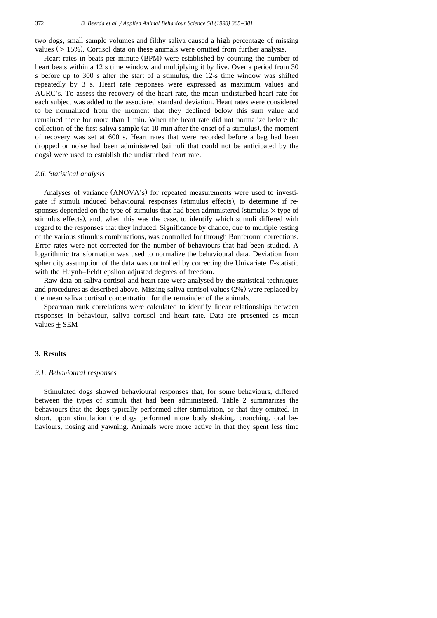two dogs, small sample volumes and filthy saliva caused a high percentage of missing values ( $\geq$  15%). Cortisol data on these animals were omitted from further analysis.

Heart rates in beats per minute (BPM) were established by counting the number of heart beats within a 12 s time window and multiplying it by five. Over a period from 30 s before up to 300 s after the start of a stimulus, the 12-s time window was shifted repeatedly by 3 s. Heart rate responses were expressed as maximum values and AURC's. To assess the recovery of the heart rate, the mean undisturbed heart rate for each subject was added to the associated standard deviation. Heart rates were considered to be normalized from the moment that they declined below this sum value and remained there for more than 1 min. When the heart rate did not normalize before the collection of the first saliva sample (at  $10$  min after the onset of a stimulus), the moment of recovery was set at 600 s. Heart rates that were recorded before a bag had been dropped or noise had been administered (stimuli that could not be anticipated by the dogs) were used to establish the undisturbed heart rate.

#### *2.6. Statistical analysis*

Analyses of variance (ANOVA's) for repeated measurements were used to investigate if stimuli induced behavioural responses (stimulus effects), to determine if responses depended on the type of stimulus that had been administered (stimulus  $\times$  type of stimulus effects), and, when this was the case, to identify which stimuli differed with regard to the responses that they induced. Significance by chance, due to multiple testing of the various stimulus combinations, was controlled for through Bonferonni corrections. Error rates were not corrected for the number of behaviours that had been studied. A logarithmic transformation was used to normalize the behavioural data. Deviation from sphericity assumption of the data was controlled by correcting the Univariate *F*-statistic with the Huynh–Feldt epsilon adjusted degrees of freedom.

Raw data on saliva cortisol and heart rate were analysed by the statistical techniques and procedures as described above. Missing saliva cortisol values (2%) were replaced by the mean saliva cortisol concentration for the remainder of the animals.

Spearman rank correlations were calculated to identify linear relationships between responses in behaviour, saliva cortisol and heart rate. Data are presented as mean values  $\pm$  SEM

## **3. Results**

# *3.1. Beha*Õ*ioural responses*

Stimulated dogs showed behavioural responses that, for some behaviours, differed between the types of stimuli that had been administered. Table 2 summarizes the behaviours that the dogs typically performed after stimulation, or that they omitted. In short, upon stimulation the dogs performed more body shaking, crouching, oral behaviours, nosing and yawning. Animals were more active in that they spent less time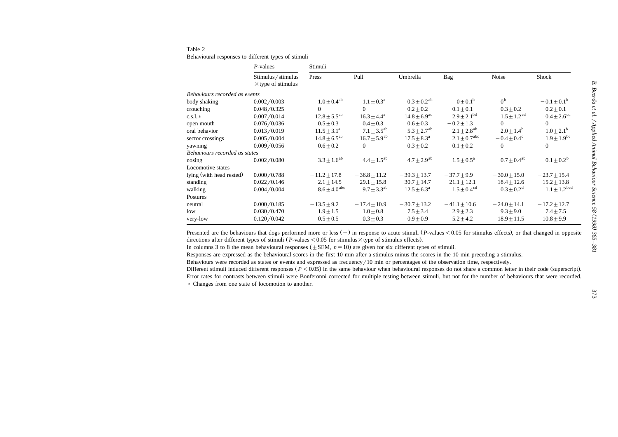| Table 2                                             |  |
|-----------------------------------------------------|--|
| Behavioural responses to different types of stimuli |  |

|                               | $P$ -values<br>Stimulus / stimulus<br>$\times$ type of stimulus | Stimuli                  |                           |                              |                             |                             |                             |
|-------------------------------|-----------------------------------------------------------------|--------------------------|---------------------------|------------------------------|-----------------------------|-----------------------------|-----------------------------|
|                               |                                                                 | Press                    | Pull                      | Umbrella                     | <b>Bag</b>                  | Noise                       | Shock                       |
| Behaviours recorded as events |                                                                 |                          |                           |                              |                             |                             |                             |
| body shaking                  | 0.002 / 0.003                                                   | $1.0 \pm 0.4^{ab}$       | $1.1 \pm 0.3^{\text{a}}$  | $0.3 + 0.2^{ab}$             | $0 + 0.1^b$                 | 0 <sup>b</sup>              | $-0.1 \pm 0.1^b$            |
| crouching                     | 0.048/0.325                                                     | $\Omega$                 | $\Omega$                  | $0.2 + 0.2$                  | $0.1 \pm 0.1$               | $0.3 \pm 0.2$               | $0.2 \pm 0.1$               |
| $c.s.1.*$                     | 0.007/0.014                                                     | $12.8 \pm 5.5^{ab}$      | $16.3 \pm 4.4^{\text{a}}$ | $14.8 \pm 6.9$ <sup>ac</sup> | $2.9 \pm 2.1^{bd}$          | $1.5 \pm 1.2$ <sup>cd</sup> | $0.4 \pm 2.6$ <sup>cd</sup> |
| open mouth                    | 0.076/0.036                                                     | $0.5 \pm 0.3$            | $0.4 + 0.3$               | $0.6 + 0.3$                  | $-0.2 + 1.3$                | $\Omega$                    | $\Omega$                    |
| oral behavior                 | 0.013/0.019                                                     | $11.5 \pm 3.1^{\circ}$   | $7.1 \pm 3.5^{ab}$        | $5.3 \pm 2.7$ <sup>ab</sup>  | $2.1 \pm 2.8$ <sup>ab</sup> | $2.0 + 1.4^b$               | $1.0 \pm 2.1^{\rm b}$       |
| sector crossings              | 0.005 / 0.004                                                   | $14.8 \pm 6.5^{ab}$      | $16.7 \pm 5.9^{ab}$       | $17.5 \pm 8.3^{\rm a}$       | $2.1 \pm 0.7^{\rm abc}$     | $-0.4 \pm 0.4^{\circ}$      | $1.9 \pm 1.9^{\rm bc}$      |
| yawning                       | 0.009/0.056                                                     | $0.6 \pm 0.2$            | $\theta$                  | $0.3 \pm 0.2$                | $0.1 \pm 0.2$               | $\theta$                    | $\mathbf{0}$                |
|                               | Behaviours recorded as states                                   |                          |                           |                              |                             |                             |                             |
| nosing                        | 0.002 / 0.080                                                   | $3.3 \pm 1.6^{ab}$       | $4.4 \pm 1.5^{ab}$        | $4.7 \pm 2.9^{ab}$           | $1.5 \pm 0.5^{\text{a}}$    | $0.7 + 0.4^{ab}$            | $0.1 \pm 0.2^{\rm b}$       |
| Locomotive states             |                                                                 |                          |                           |                              |                             |                             |                             |
| lying (with head rested)      | 0.000/0.788                                                     | $-11.2 \pm 17.8$         | $-36.8 \pm 11.2$          | $-39.3 \pm 13.7$             | $-37.7 \pm 9.9$             | $-30.0 + 15.0$              | $-23.7 \pm 15.4$            |
| standing                      | 0.022 / 0.146                                                   | $2.1 + 14.5$             | $29.1 + 15.8$             | $30.7 \pm 14.7$              | $21.1 \pm 12.1$             | $18.4 + 12.6$               | $15.2 \pm 13.8$             |
| walking                       | 0.004 / 0.004                                                   | $8.6 + 4.0^{\text{abc}}$ | $9.7 + 3.3^{ab}$          | $12.5 \pm 6.3^{\rm a}$       | $1.5 \pm 0.4$ <sup>cd</sup> | $0.3 \pm 0.2$ <sup>d</sup>  | $1.1 \pm 1.2^{bcd}$         |
| Postures                      |                                                                 |                          |                           |                              |                             |                             |                             |
| neutral                       | 0.000 / 0.185                                                   | $-13.5 \pm 9.2$          | $-17.4 \pm 10.9$          | $-30.7 \pm 13.2$             | $-41.1 \pm 10.6$            | $-24.0 \pm 14.1$            | $-17.2 \pm 12.7$            |
| low                           | 0.030/0.470                                                     | $1.9 \pm 1.5$            | $1.0 \pm 0.8$             | $7.5 \pm 3.4$                | $2.9 \pm 2.3$               | $9.3 \pm 9.0$               | $7.4 \pm 7.5$               |
| very-low                      | 0.120 / 0.042                                                   | $0.5 \pm 0.5$            | $0.3 \pm 0.3$             | $0.9 \pm 0.9$                | $5.2 \pm 4.2$               | $18.9 \pm 11.5$             | $10.8 \pm 9.9$              |

Presented are the behaviours that dogs performed more or less (-) in response to acute stimuli (*P*-values < 0.05 for stimulus effects), or that changed in opposite directions after different types of stimuli ( $P$ -values < 0.05 for stimulus  $\times$  type of stimulus effects).

In columns 3 to 8 the mean behavioural responses  $(\pm$  SEM,  $n = 10)$  are given for six different types of stimuli.

Responses are expressed as the behavioural scores in the first 10 min after <sup>a</sup> stimulus minus the scores in the 10 min preceding <sup>a</sup> stimulus.

Behaviours were recorded as states or events and expressed as frequency/10 min or percentages of the observation time, respectively.

Different stimuli induced different responses  $(P < 0.05)$  in the same behaviour when behavioural responses do not share a common letter in their code (superscript).

Error rates for contrasts between stimuli were Bonferonni corrected for multiple testing between stimuli, but not for the number of behaviours that were recorded. ) Changes from one state of locomotion to another.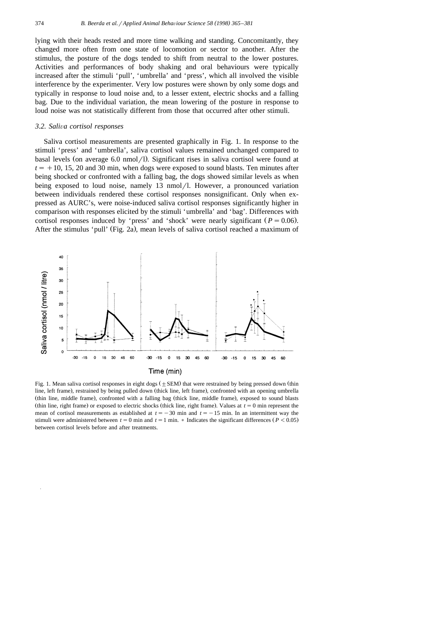lying with their heads rested and more time walking and standing. Concomitantly, they changed more often from one state of locomotion or sector to another. After the stimulus, the posture of the dogs tended to shift from neutral to the lower postures. Activities and performances of body shaking and oral behaviours were typically increased after the stimuli 'pull', 'umbrella' and 'press', which all involved the visible interference by the experimenter. Very low postures were shown by only some dogs and typically in response to loud noise and, to a lesser extent, electric shocks and a falling bag. Due to the individual variation, the mean lowering of the posture in response to loud noise was not statistically different from those that occurred after other stimuli.

#### *3.2. Sali*Õ*a cortisol responses*

Saliva cortisol measurements are presented graphically in Fig. 1. In response to the stimuli 'press' and 'umbrella', saliva cortisol values remained unchanged compared to basal levels (on average 6.0 nmol/l). Significant rises in saliva cortisol were found at  $t = +10$ , 15, 20 and 30 min, when dogs were exposed to sound blasts. Ten minutes after being shocked or confronted with a falling bag, the dogs showed similar levels as when being exposed to loud noise, namely  $13 \text{ nmol}/1$ . However, a pronounced variation between individuals rendered these cortisol responses nonsignificant. Only when expressed as AURC's, were noise-induced saliva cortisol responses significantly higher in comparison with responses elicited by the stimuli 'umbrella' and 'bag'. Differences with cortisol responses induced by 'press' and 'shock' were nearly significant  $(P = 0.06)$ . After the stimulus 'pull' (Fig. 2a), mean levels of saliva cortisol reached a maximum of



Fig. 1. Mean saliva cortisol responses in eight dogs  $(\pm$  SEM) that were restrained by being pressed down (thin line, left frame), restrained by being pulled down (thick line, left frame), confronted with an opening umbrella (thin line, middle frame), confronted with a falling bag (thick line, middle frame), exposed to sound blasts (thin line, right frame) or exposed to electric shocks (thick line, right frame). Values at  $t=0$  min represent the mean of cortisol measurements as established at  $t = -30$  min and  $t = -15$  min. In an intermittent way the stimuli were administered between  $t=0$  min and  $t=1$  min.  $*$  Indicates the significant differences ( $P < 0.05$ ) between cortisol levels before and after treatments.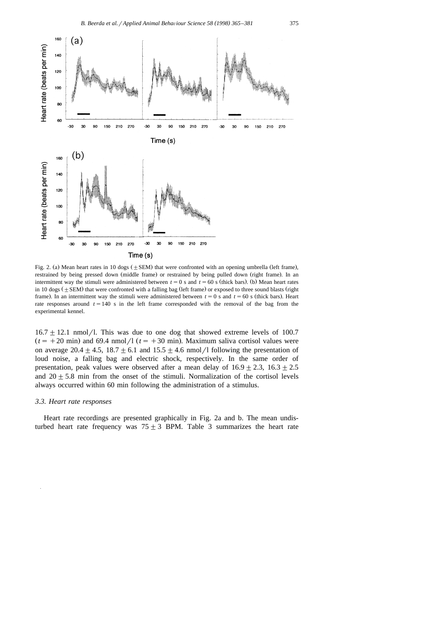

Fig. 2. (a) Mean heart rates in 10 dogs  $(+$  SEM) that were confronted with an opening umbrella (left frame), restrained by being pressed down (middle frame) or restrained by being pulled down (right frame). In an intermittent way the stimuli were administered between  $t=0$  s and  $t=60$  s (thick bars). (b) Mean heart rates in 10 dogs  $(\pm$  SEM) that were confronted with a falling bag (left frame) or exposed to three sound blasts (right frame). In an intermittent way the stimuli were administered between  $t = 0$  s and  $t = 60$  s (thick bars). Heart rate responses around  $t = 140$  s in the left frame corresponded with the removal of the bag from the experimental kennel.

 $16.7 + 12.1$  nmol/l. This was due to one dog that showed extreme levels of 100.7  $(t = +20 \text{ min})$  and 69.4 nmol/l  $(t = +30 \text{ min})$ . Maximum saliva cortisol values were on average 20.4  $\pm$  4.5, 18.7  $\pm$  6.1 and 15.5  $\pm$  4.6 nmol/1 following the presentation of loud noise, a falling bag and electric shock, respectively. In the same order of presentation, peak values were observed after a mean delay of  $16.9 \pm 2.3$ ,  $16.3 \pm 2.5$ and  $20 + 5.8$  min from the onset of the stimuli. Normalization of the cortisol levels always occurred within 60 min following the administration of a stimulus.

# *3.3. Heart rate responses*

Heart rate recordings are presented graphically in Fig. 2a and b. The mean undisturbed heart rate frequency was  $75 \pm 3$  BPM. Table 3 summarizes the heart rate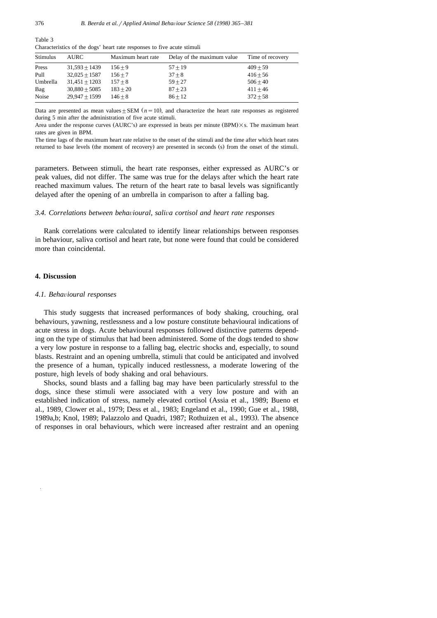| Stimulus | AURC            | Maximum heart rate | Delay of the maximum value | Time of recovery |
|----------|-----------------|--------------------|----------------------------|------------------|
| Press    | $31,593 + 1439$ | $156 + 9$          | $57 + 19$                  | $409 + 59$       |
| Pull     | $32,025 + 1587$ | $156 + 7$          | $37 + 8$                   | $416 + 56$       |
| Umbrella | $31,451 + 1203$ | $157 + 8$          | $59 + 27$                  | $506 + 40$       |
| Bag      | $30,880 + 5085$ | $183 + 20$         | $87 + 23$                  | $411 + 46$       |
| Noise    | $29,947 + 1599$ | $146 + 8$          | $86 + 12$                  | $372 + 58$       |
|          |                 |                    |                            |                  |

Table 3 Characteristics of the dogs' heart rate responses to five acute stimuli

Data are presented as mean values  $+$  SEM  $(n = 10)$ , and characterize the heart rate responses as registered during 5 min after the administration of five acute stimuli.

Area under the response curves (AURC's) are expressed in beats per minute  $(BPM) \times s$ . The maximum heart rates are given in BPM.

The time lags of the maximum heart rate relative to the onset of the stimuli and the time after which heart rates returned to base levels (the moment of recovery) are presented in seconds (s) from the onset of the stimuli.

parameters. Between stimuli, the heart rate responses, either expressed as AURC's or peak values, did not differ. The same was true for the delays after which the heart rate reached maximum values. The return of the heart rate to basal levels was significantly delayed after the opening of an umbrella in comparison to after a falling bag.

# *3.4. Correlations between beha*Õ*ioural, sali*Õ*a cortisol and heart rate responses*

Rank correlations were calculated to identify linear relationships between responses in behaviour, saliva cortisol and heart rate, but none were found that could be considered more than coincidental.

# **4. Discussion**

#### *4.1. Beha*Õ*ioural responses*

This study suggests that increased performances of body shaking, crouching, oral behaviours, yawning, restlessness and a low posture constitute behavioural indications of acute stress in dogs. Acute behavioural responses followed distinctive patterns depending on the type of stimulus that had been administered. Some of the dogs tended to show a very low posture in response to a falling bag, electric shocks and, especially, to sound blasts. Restraint and an opening umbrella, stimuli that could be anticipated and involved the presence of a human, typically induced restlessness, a moderate lowering of the posture, high levels of body shaking and oral behaviours.

Shocks, sound blasts and a falling bag may have been particularly stressful to the dogs, since these stimuli were associated with a very low posture and with an established indication of stress, namely elevated cortisol (Assia et al., 1989; Bueno et al., 1989, Clower et al., 1979; Dess et al., 1983; Engeland et al., 1990; Gue et al., 1988, 1989a,b; Knol, 1989; Palazzolo and Quadri, 1987; Rothuizen et al., 1993). The absence of responses in oral behaviours, which were increased after restraint and an opening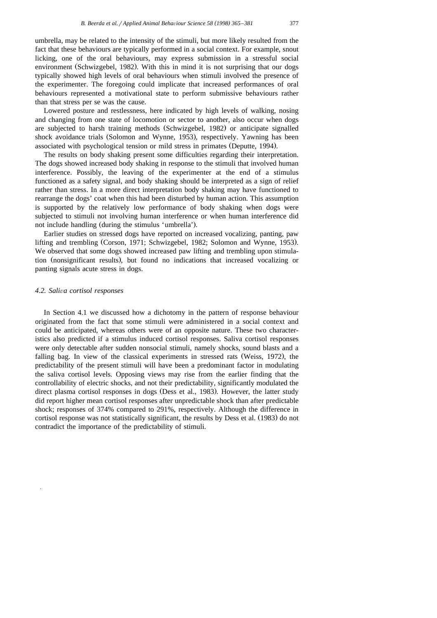umbrella, may be related to the intensity of the stimuli, but more likely resulted from the fact that these behaviours are typically performed in a social context. For example, snout licking, one of the oral behaviours, may express submission in a stressful social environment (Schwizgebel, 1982). With this in mind it is not surprising that our dogs typically showed high levels of oral behaviours when stimuli involved the presence of the experimenter. The foregoing could implicate that increased performances of oral behaviours represented a motivational state to perform submissive behaviours rather than that stress per se was the cause.

Lowered posture and restlessness, here indicated by high levels of walking, nosing and changing from one state of locomotion or sector to another, also occur when dogs are subjected to harsh training methods (Schwizgebel, 1982) or anticipate signalled shock avoidance trials (Solomon and Wynne, 1953), respectively. Yawning has been associated with psychological tension or mild stress in primates (Deputte, 1994).

The results on body shaking present some difficulties regarding their interpretation. The dogs showed increased body shaking in response to the stimuli that involved human interference. Possibly, the leaving of the experimenter at the end of a stimulus functioned as a safety signal, and body shaking should be interpreted as a sign of relief rather than stress. In a more direct interpretation body shaking may have functioned to rearrange the dogs' coat when this had been disturbed by human action. This assumption is supported by the relatively low performance of body shaking when dogs were subjected to stimuli not involving human interference or when human interference did not include handling (during the stimulus 'umbrella').

Earlier studies on stressed dogs have reported on increased vocalizing, panting, paw lifting and trembling (Corson, 1971; Schwizgebel, 1982; Solomon and Wynne, 1953). We observed that some dogs showed increased paw lifting and trembling upon stimulation (nonsignificant results), but found no indications that increased vocalizing or panting signals acute stress in dogs.

## *4.2. Sali*Õ*a cortisol responses*

In Section 4.1 we discussed how a dichotomy in the pattern of response behaviour originated from the fact that some stimuli were administered in a social context and could be anticipated, whereas others were of an opposite nature. These two characteristics also predicted if a stimulus induced cortisol responses. Saliva cortisol responses were only detectable after sudden nonsocial stimuli, namely shocks, sound blasts and a falling bag. In view of the classical experiments in stressed rats (Weiss, 1972), the predictability of the present stimuli will have been a predominant factor in modulating the saliva cortisol levels. Opposing views may rise from the earlier finding that the controllability of electric shocks, and not their predictability, significantly modulated the direct plasma cortisol responses in dogs (Dess et al., 1983). However, the latter study did report higher mean cortisol responses after unpredictable shock than after predictable shock; responses of 374% compared to 291%, respectively. Although the difference in cortisol response was not statistically significant, the results by Dess et al. (1983) do not contradict the importance of the predictability of stimuli.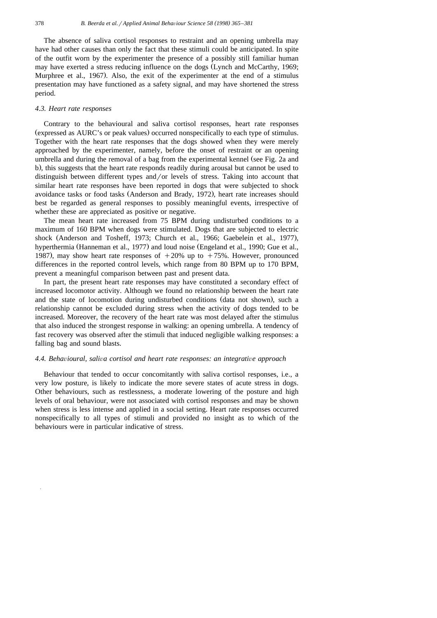The absence of saliva cortisol responses to restraint and an opening umbrella may have had other causes than only the fact that these stimuli could be anticipated. In spite of the outfit worn by the experimenter the presence of a possibly still familiar human may have exerted a stress reducing influence on the dogs (Lynch and McCarthy, 1969; Murphree et al., 1967). Also, the exit of the experimenter at the end of a stimulus presentation may have functioned as a safety signal, and may have shortened the stress period.

## *4.3. Heart rate responses*

Contrary to the behavioural and saliva cortisol responses, heart rate responses (expressed as AURC's or peak values) occurred nonspecifically to each type of stimulus. Together with the heart rate responses that the dogs showed when they were merely approached by the experimenter, namely, before the onset of restraint or an opening umbrella and during the removal of a bag from the experimental kennel (see Fig. 2a and b), this suggests that the heart rate responds readily during arousal but cannot be used to distinguish between different types and/or levels of stress. Taking into account that similar heart rate responses have been reported in dogs that were subjected to shock avoidance tasks or food tasks (Anderson and Brady, 1972), heart rate increases should best be regarded as general responses to possibly meaningful events, irrespective of whether these are appreciated as positive or negative.

The mean heart rate increased from 75 BPM during undisturbed conditions to a maximum of 160 BPM when dogs were stimulated. Dogs that are subjected to electric shock (Anderson and Tosheff, 1973; Church et al., 1966; Gaebelein et al., 1977), hyperthermia (Hanneman et al., 1977) and loud noise (Engeland et al., 1990; Gue et al., 1987), may show heart rate responses of  $+20\%$  up to  $+75\%$ . However, pronounced differences in the reported control levels, which range from 80 BPM up to 170 BPM, prevent a meaningful comparison between past and present data.

In part, the present heart rate responses may have constituted a secondary effect of increased locomotor activity. Although we found no relationship between the heart rate and the state of locomotion during undisturbed conditions (data not shown), such a relationship cannot be excluded during stress when the activity of dogs tended to be increased. Moreover, the recovery of the heart rate was most delayed after the stimulus that also induced the strongest response in walking: an opening umbrella. A tendency of fast recovery was observed after the stimuli that induced negligible walking responses: a falling bag and sound blasts.

## *4.4. Beha*Õ*ioural, sali*Õ*a cortisol and heart rate responses: an integrati*Õ*e approach*

Behaviour that tended to occur concomitantly with saliva cortisol responses, i.e., a very low posture, is likely to indicate the more severe states of acute stress in dogs. Other behaviours, such as restlessness, a moderate lowering of the posture and high levels of oral behaviour, were not associated with cortisol responses and may be shown when stress is less intense and applied in a social setting. Heart rate responses occurred nonspecifically to all types of stimuli and provided no insight as to which of the behaviours were in particular indicative of stress.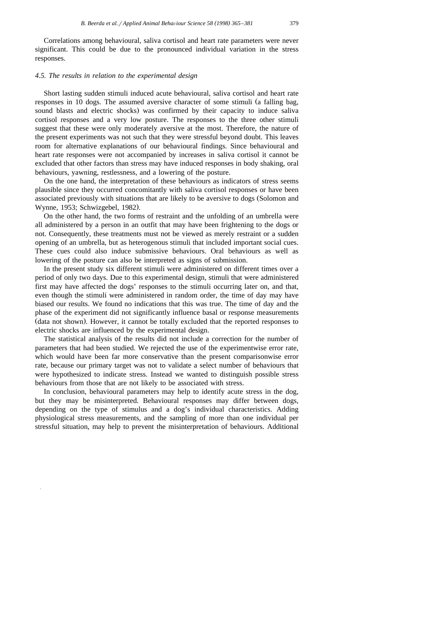Correlations among behavioural, saliva cortisol and heart rate parameters were never significant. This could be due to the pronounced individual variation in the stress responses.

# *4.5. The results in relation to the experimental design*

Short lasting sudden stimuli induced acute behavioural, saliva cortisol and heart rate responses in 10 dogs. The assumed aversive character of some stimuli (a falling bag, sound blasts and electric shocks) was confirmed by their capacity to induce saliva cortisol responses and a very low posture. The responses to the three other stimuli suggest that these were only moderately aversive at the most. Therefore, the nature of the present experiments was not such that they were stressful beyond doubt. This leaves room for alternative explanations of our behavioural findings. Since behavioural and heart rate responses were not accompanied by increases in saliva cortisol it cannot be excluded that other factors than stress may have induced responses in body shaking, oral behaviours, yawning, restlessness, and a lowering of the posture.

On the one hand, the interpretation of these behaviours as indicators of stress seems plausible since they occurred concomitantly with saliva cortisol responses or have been associated previously with situations that are likely to be aversive to dogs (Solomon and Wynne, 1953; Schwizgebel, 1982).

On the other hand, the two forms of restraint and the unfolding of an umbrella were all administered by a person in an outfit that may have been frightening to the dogs or not. Consequently, these treatments must not be viewed as merely restraint or a sudden opening of an umbrella, but as heterogenous stimuli that included important social cues. These cues could also induce submissive behaviours. Oral behaviours as well as lowering of the posture can also be interpreted as signs of submission.

In the present study six different stimuli were administered on different times over a period of only two days. Due to this experimental design, stimuli that were administered first may have affected the dogs' responses to the stimuli occurring later on, and that, even though the stimuli were administered in random order, the time of day may have biased our results. We found no indications that this was true. The time of day and the phase of the experiment did not significantly influence basal or response measurements (data not shown). However, it cannot be totally excluded that the reported responses to electric shocks are influenced by the experimental design.

The statistical analysis of the results did not include a correction for the number of parameters that had been studied. We rejected the use of the experimentwise error rate, which would have been far more conservative than the present comparisonwise error rate, because our primary target was not to validate a select number of behaviours that were hypothesized to indicate stress. Instead we wanted to distinguish possible stress behaviours from those that are not likely to be associated with stress.

In conclusion, behavioural parameters may help to identify acute stress in the dog, but they may be misinterpreted. Behavioural responses may differ between dogs, depending on the type of stimulus and a dog's individual characteristics. Adding physiological stress measurements, and the sampling of more than one individual per stressful situation, may help to prevent the misinterpretation of behaviours. Additional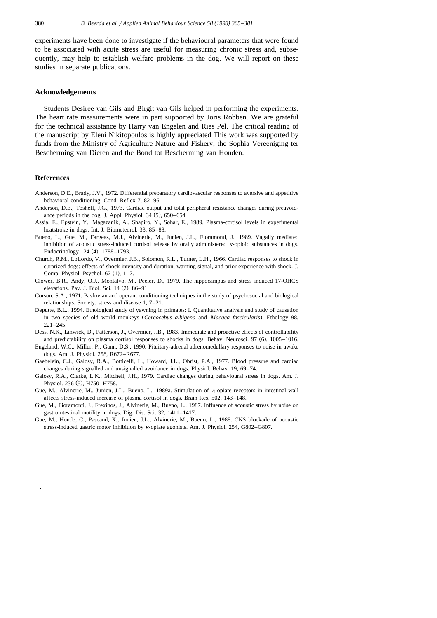experiments have been done to investigate if the behavioural parameters that were found to be associated with acute stress are useful for measuring chronic stress and, subsequently, may help to establish welfare problems in the dog. We will report on these studies in separate publications.

#### **Acknowledgements**

Students Desiree van Gils and Birgit van Gils helped in performing the experiments. The heart rate measurements were in part supported by Joris Robben. We are grateful for the technical assistance by Harry van Engelen and Ries Pel. The critical reading of the manuscript by Eleni Nikitopoulos is highly appreciated This work was supported by funds from the Ministry of Agriculture Nature and Fishery, the Sophia Vereeniging ter Bescherming van Dieren and the Bond tot Bescherming van Honden.

## **References**

- Anderson, D.E., Brady, J.V., 1972. Differential preparatory cardiovascular responses to aversive and appetitive behavioral conditioning. Cond. Reflex 7, 82–96.
- Anderson, D.E., Tosheff, J.G., 1973. Cardiac output and total peripheral resistance changes during preavoidance periods in the dog. J. Appl. Physiol.  $34$  (5),  $650-654$ .
- Assia, E., Epstein, Y., Magazanik, A., Shapiro, Y., Sohar, E., 1989. Plasma-cortisol levels in experimental heatstroke in dogs. Int. J. Biometeorol. 33, 85–88.
- Bueno, L., Gue, M., Fargeas, M.J., Alvinerie, M., Junien, J.L., Fioramonti, J., 1989. Vagally mediated inhibition of acoustic stress-induced cortisol release by orally administered  $\kappa$ -opioid substances in dogs. Endocrinology 124 (4), 1788-1793.
- Church, R.M., LoLordo, V., Overmier, J.B., Solomon, R.L., Turner, L.H., 1966. Cardiac responses to shock in curarized dogs: effects of shock intensity and duration, warning signal, and prior experience with shock. J. Comp. Physiol. Psychol.  $62$  (1), 1-7.
- Clower, B.R., Andy, O.J., Montalvo, M., Peeler, D., 1979. The hippocampus and stress induced 17-OHCS elevations. Pav. J. Biol. Sci. 14 (2), 86-91.
- Corson, S.A., 1971. Pavlovian and operant conditioning techniques in the study of psychosocial and biological relationships. Society, stress and disease 1, 7–21.
- Deputte, B.L., 1994. Ethological study of yawning in primates: I. Quantitative analysis and study of causation in two species of old world monkeys (Cercocebus albigena and *Macaca fascicularis*). Ethology 98, 221–245.
- Dess, N.K., Linwick, D., Patterson, J., Overmier, J.B., 1983. Immediate and proactive effects of controllability and predictability on plasma cortisol responses to shocks in dogs. Behav. Neurosci. 97 (6), 1005–1016.
- Engeland, W.C., Miller, P., Gann, D.S., 1990. Pituitary-adrenal adrenomedullary responses to noise in awake dogs. Am. J. Physiol. 258, R672–R677.
- Gaebelein, C.J., Galosy, R.A., Botticelli, L., Howard, J.L., Obrist, P.A., 1977. Blood pressure and cardiac changes during signalled and unsignalled avoidance in dogs. Physiol. Behav. 19, 69–74.
- Galosy, R.A., Clarke, L.K., Mitchell, J.H., 1979. Cardiac changes during behavioural stress in dogs. Am. J. Physiol. 236 (5), H750-H758.
- Gue, M., Alvinerie, M., Junien, J.L., Bueno, L., 1989a. Stimulation of  $\kappa$ -opiate receptors in intestinal wall affects stress-induced increase of plasma cortisol in dogs. Brain Res. 502, 143–148.
- Gue, M., Fioramonti, J., Frexinos, J., Alvinerie, M., Bueno, L., 1987. Influence of acoustic stress by noise on gastrointestinal motility in dogs. Dig. Dis. Sci. 32, 1411–1417.
- Gue, M., Honde, C., Pascaud, X., Junien, J.L., Alvinerie, M., Bueno, L., 1988. CNS blockade of acoustic stress-induced gastric motor inhibition by  $\kappa$ -opiate agonists. Am. J. Physiol. 254, G802–G807.